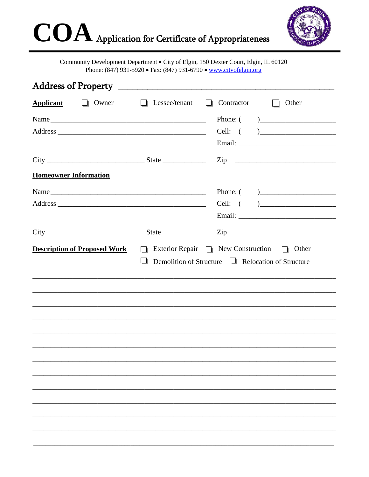## $\mathbf{COA}$  Application for Certificate of Appropriateness



Community Development Department · City of Elgin, 150 Dexter Court, Elgin, IL 60120 Phone: (847) 931-5920 • Fax: (847) 931-6790 • www.cityofelgin.org

| <b>Applicant D</b> Owner                            |  |   | $\Box$ Lessee/tenant $\Box$ Contractor $\Box$ Other                                                                   |  |                                                       |  |
|-----------------------------------------------------|--|---|-----------------------------------------------------------------------------------------------------------------------|--|-------------------------------------------------------|--|
| Name                                                |  |   |                                                                                                                       |  | Phone: $\begin{pmatrix} 1 & 1 \\ 1 & 1 \end{pmatrix}$ |  |
|                                                     |  |   |                                                                                                                       |  |                                                       |  |
|                                                     |  |   |                                                                                                                       |  |                                                       |  |
| $City$ $Zip$                                        |  |   |                                                                                                                       |  |                                                       |  |
| <b>Homeowner Information</b>                        |  |   |                                                                                                                       |  |                                                       |  |
| Name                                                |  |   |                                                                                                                       |  | Phone: $\begin{pmatrix} 1 & 1 \\ 1 & 1 \end{pmatrix}$ |  |
|                                                     |  |   |                                                                                                                       |  |                                                       |  |
|                                                     |  |   |                                                                                                                       |  |                                                       |  |
|                                                     |  |   |                                                                                                                       |  |                                                       |  |
| $City$ $Zip$<br><b>Description of Proposed Work</b> |  | ப | $\Box$ Exterior Repair $\Box$ New Construction $\Box$ Other<br>Demolition of Structure $\Box$ Relocation of Structure |  |                                                       |  |
|                                                     |  |   |                                                                                                                       |  |                                                       |  |
|                                                     |  |   |                                                                                                                       |  |                                                       |  |
|                                                     |  |   |                                                                                                                       |  |                                                       |  |
|                                                     |  |   |                                                                                                                       |  |                                                       |  |
|                                                     |  |   |                                                                                                                       |  |                                                       |  |
|                                                     |  |   |                                                                                                                       |  |                                                       |  |
|                                                     |  |   |                                                                                                                       |  |                                                       |  |
|                                                     |  |   |                                                                                                                       |  |                                                       |  |
|                                                     |  |   |                                                                                                                       |  |                                                       |  |